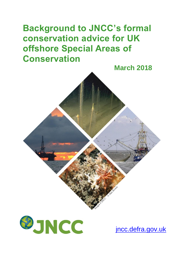# **Background to JNCC's formal conservation advice for UK offshore Special Areas of Conservation**





[jncc.defra.gov.uk](http://www.jncc.defra.gov.uk/)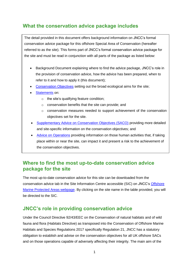### **What the conservation advice package includes**

The detail provided in this document offers background information on JNCC's formal conservation advice package for this offshore Special Area of Conservation (hereafter referred to as the site). This forms part of JNCC's formal conservation advice package for the site and must be read in conjunction with all parts of the package as listed below:

- Background Document explaining where to find the advice package, JNCC's role in the provision of conservation advice, how the advice has been prepared, when to refer to it and how to apply it (this document);
- [Conservation Objectives](http://jncc.defra.gov.uk/pdf/AntonDohrn_ConservationObjectives_V1.0.pdf) setting out the broad ecological aims for the site;
- [Statements](http://jncc.defra.gov.uk/pdf/AntonDohrn_ConservationStatements_V1.0.pdf) on:
	- o the site's qualifying feature condition;
	- o conservation benefits that the site can provide; and
	- o conservation measures needed to support achievement of the conservation objectives set for the site.
- [Supplementary Advice on Conservation Objectives \(SACO\)](http://jncc.defra.gov.uk/pdf/AntonDohrn_SACO_V1.0.pdf) providing more detailed and site-specific information on the conservation objectives; and
- [Advice on Operations](http://jncc.defra.gov.uk/docs/AntonDohrn_AdviceOnOperations_V1.0.xlsx) providing information on those human activities that, if taking place within or near the site, can impact it and present a risk to the achievement of the conservation objectives.

#### **Where to find the most up-to-date conservation advice package for the site**

The most up-to-date conservation advice for this site can be downloaded from the conservation advice tab in the Site Information Centre accessible (SIC) on JNCC's [Offshore](http://jncc.defra.gov.uk/offshoreMPAs)  [Marine Protected Areas webpage.](http://jncc.defra.gov.uk/offshoreMPAs) By clicking on the site name in the table provided, you will be directed to the SIC.

#### **JNCC's role in providing conservation advice**

Under the Council Directive 92/43/EEC on the Conservation of natural habitats and of wild fauna and flora (Habitats Directive) as transposed into the Conservation of Offshore Marine Habitats and Species Regulations 2017 specifically Regulation 21, JNCC has a statutory obligation to establish and advise on the conservation objectives for all UK offshore SACs and on those operations capable of adversely affecting their integrity. The main aim of the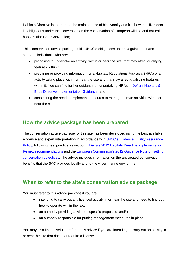Habitats Directive is to promote the maintenance of biodiversity and it is how the UK meets its obligations under the Convention on the conservation of European wildlife and natural habitats (the Bern Convention).

This conservation advice package fulfils JNCC's obligations under Regulation 21 and supports individuals who are:

- proposing to undertake an activity, within or near the site, that may affect qualifying features within it;
- preparing or providing information for a Habitats Regulations Appraisal (HRA) of an activity taking place within or near the site and that may affect qualifying features within it. You can find further quidance on undertaking HRAs in Defra's Habitats & [Birds Directive Implementation Guidance;](https://www.gov.uk/government/uploads/system/uploads/attachment_data/file/82706/habitats-simplify-guide-draft-20121211.pdf) and
- considering the need to implement measures to manage human activities within or near the site.

## **How the advice package has been prepared**

The conservation advice package for this site has been developed using the best available evidence and expert interpretation in accordance with JNCC's Evidence Quality Assurance [Policy,](http://jncc.defra.gov.uk/page-6675) following best practice as set out in [Defra's 2012 Habitats Directive Implementation](https://www.gov.uk/government/uploads/system/uploads/attachment_data/file/69513/pb13724-habitats-review-report.pdf)  [Review recommendations](https://www.gov.uk/government/uploads/system/uploads/attachment_data/file/69513/pb13724-habitats-review-report.pdf) and the [European Commission's 2012 Guidance Note on setting](http://ec.europa.eu/environment/nature/natura2000/management/docs/commission_note/commission_note2_EN.pdf)  [conservation objectives.](http://ec.europa.eu/environment/nature/natura2000/management/docs/commission_note/commission_note2_EN.pdf) The advice includes information on the anticipated conservation benefits that the SAC provides locally and to the wider marine environment.

## **When to refer to the site's conservation advice package**

You must refer to this advice package if you are:

- intending to carry out any licensed activity in or near the site and need to find out how to operate within the law;
- an authority providing advice on specific proposals; and/or
- an authority responsible for putting management measures in place.

You may also find it useful to refer to this advice if you are intending to carry out an activity in or near the site that does not require a license.